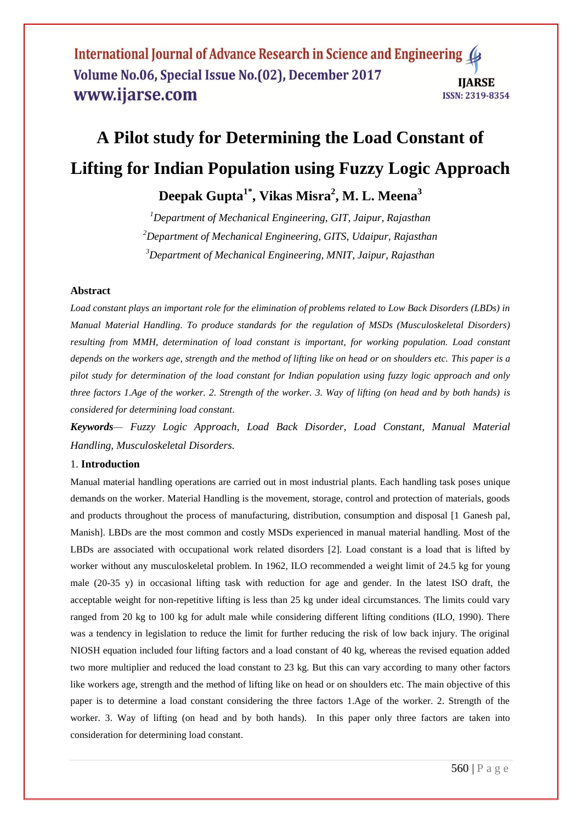# **A Pilot study for Determining the Load Constant of Lifting for Indian Population using Fuzzy Logic Approach**

## **Deepak Gupta1\* , Vikas Misra<sup>2</sup> , M. L. Meena<sup>3</sup>**

*<sup>1</sup>Department of Mechanical Engineering, GIT, Jaipur, Rajasthan <sup>2</sup>Department of Mechanical Engineering, GITS, Udaipur, Rajasthan <sup>3</sup>Department of Mechanical Engineering, MNIT, Jaipur, Rajasthan*

## **Abstract**

*Load constant plays an important role for the elimination of problems related to Low Back Disorders (LBDs) in Manual Material Handling. To produce standards for the regulation of MSDs (Musculoskeletal Disorders) resulting from MMH, determination of load constant is important, for working population. Load constant depends on the workers age, strength and the method of lifting like on head or on shoulders etc. This paper is a pilot study for determination of the load constant for Indian population using fuzzy logic approach and only three factors 1.Age of the worker. 2. Strength of the worker. 3. Way of lifting (on head and by both hands) is considered for determining load constant*.

*Keywords— Fuzzy Logic Approach, Load Back Disorder, Load Constant, Manual Material Handling, Musculoskeletal Disorders.*

## 1. **Introduction**

Manual material handling operations are carried out in most industrial plants. Each handling task poses unique demands on the worker. Material Handling is the movement, storage, control and protection of materials, goods and products throughout the process of manufacturing, distribution, consumption and disposal [1 Ganesh pal, Manish]. LBDs are the most common and costly MSDs experienced in manual material handling. Most of the LBDs are associated with occupational work related disorders [2]. Load constant is a load that is lifted by worker without any musculoskeletal problem. In 1962, ILO recommended a weight limit of 24.5 kg for young male (20-35 y) in occasional lifting task with reduction for age and gender. In the latest ISO draft, the acceptable weight for non-repetitive lifting is less than 25 kg under ideal circumstances. The limits could vary ranged from 20 kg to 100 kg for adult male while considering different lifting conditions (ILO, 1990). There was a tendency in legislation to reduce the limit for further reducing the risk of low back injury. The original NIOSH equation included four lifting factors and a load constant of 40 kg, whereas the revised equation added two more multiplier and reduced the load constant to 23 kg. But this can vary according to many other factors like workers age, strength and the method of lifting like on head or on shoulders etc. The main objective of this paper is to determine a load constant considering the three factors 1.Age of the worker. 2. Strength of the worker. 3. Way of lifting (on head and by both hands). In this paper only three factors are taken into consideration for determining load constant.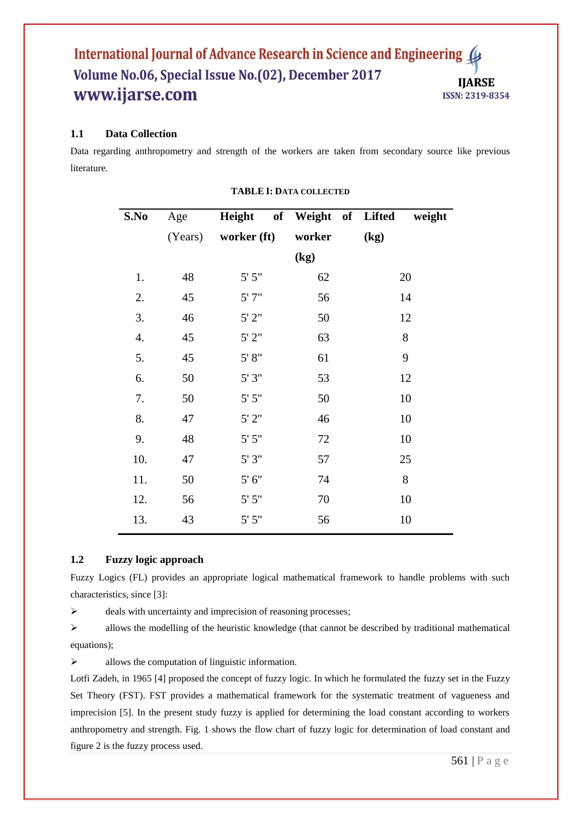## **1.1 Data Collection**

Data regarding anthropometry and strength of the workers are taken from secondary source like previous literature.

| S.No | Age     |             | Height of Weight of Lifted | weight |
|------|---------|-------------|----------------------------|--------|
|      | (Years) | worker (ft) | worker                     | (kg)   |
|      |         |             | (kg)                       |        |
| 1.   | 48      | 5' 5''      | 62                         | 20     |
| 2.   | 45      | 5'7''       | 56                         | 14     |
| 3.   | 46      | 5'2"        | 50                         | 12     |
| 4.   | 45      | 5'2"        | 63                         | 8      |
| 5.   | 45      | 5' 8''      | 61                         | 9      |
| 6.   | 50      | 5'3''       | 53                         | 12     |
| 7.   | 50      | 5' 5''      | 50                         | 10     |
| 8.   | 47      | 5'2''       | 46                         | 10     |
| 9.   | 48      | 5' 5''      | 72                         | 10     |
| 10.  | 47      | 5'3''       | 57                         | 25     |
| 11.  | 50      | 5' 6''      | 74                         | 8      |
| 12.  | 56      | 5' 5''      | 70                         | 10     |
| 13.  | 43      | 5' 5''      | 56                         | 10     |

#### **TABLE I: DATA COLLECTED**

#### **1.2 Fuzzy logic approach**

Fuzzy Logics (FL) provides an appropriate logical mathematical framework to handle problems with such characteristics, since [3]:

 $\triangleright$  deals with uncertainty and imprecision of reasoning processes;

 $\triangleright$  allows the modelling of the heuristic knowledge (that cannot be described by traditional mathematical equations);

 $\triangleright$  allows the computation of linguistic information.

Lotfi Zadeh, in 1965 [4] proposed the concept of fuzzy logic. In which he formulated the fuzzy set in the Fuzzy Set Theory (FST). FST provides a mathematical framework for the systematic treatment of vagueness and imprecision [5]. In the present study fuzzy is applied for determining the load constant according to workers anthropometry and strength. Fig. 1 shows the flow chart of fuzzy logic for determination of load constant and figure 2 is the fuzzy process used.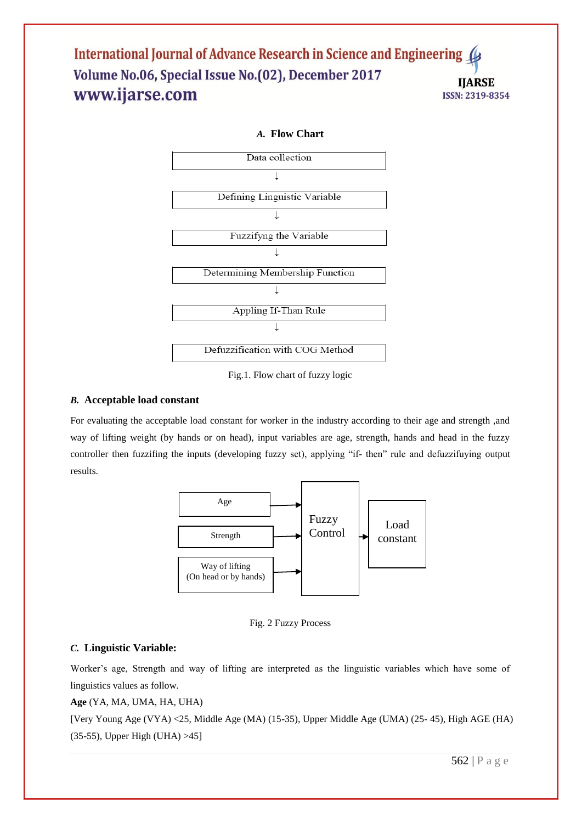

Fig.1. Flow chart of fuzzy logic

## *B.* **Acceptable load constant**

For evaluating the acceptable load constant for worker in the industry according to their age and strength ,and way of lifting weight (by hands or on head), input variables are age, strength, hands and head in the fuzzy controller then fuzzifing the inputs (developing fuzzy set), applying "if- then" rule and defuzzifuying output results.



Fig. 2 Fuzzy Process

## *C.* **Linguistic Variable:**

Worker's age, Strength and way of lifting are interpreted as the linguistic variables which have some of linguistics values as follow.

**Age** (YA, MA, UMA, HA, UHA)

[Very Young Age (VYA) <25, Middle Age (MA) (15-35), Upper Middle Age (UMA) (25- 45), High AGE (HA) (35-55), Upper High (UHA) >45]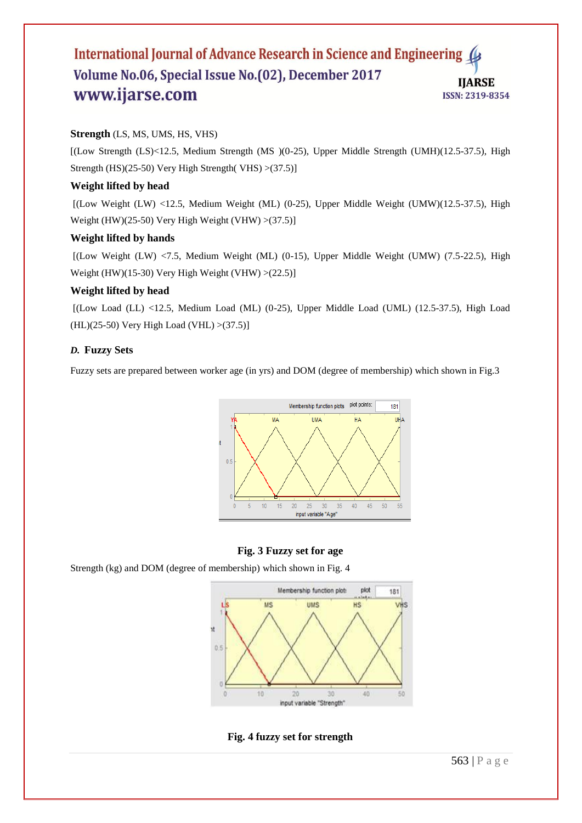## **Strength** (LS, MS, UMS, HS, VHS)

[(Low Strength (LS)<12.5, Medium Strength (MS )(0-25), Upper Middle Strength (UMH)(12.5-37.5), High Strength (HS)(25-50) Very High Strength( VHS)  $>(37.5)$ ]

## **Weight lifted by head**

[(Low Weight (LW) <12.5, Medium Weight (ML) (0-25), Upper Middle Weight (UMW)(12.5-37.5), High Weight (HW)(25-50) Very High Weight (VHW)  $>(37.5)$ ]

## **Weight lifted by hands**

 $[(Low Weight (LW) < 7.5, Medium Weight (ML) (0-15), Upper Middle Weight (UMW) (7.5-22.5), High$ Weight (HW)(15-30) Very High Weight (VHW) >(22.5)]

## **Weight lifted by head**

 $[(Low Load (LL) < 12.5, Medium Load (ML) (0-25), Upper Middle Load (UML) (12.5-37.5), High Load (LMS)$  $(HL)(25-50)$  Very High Load (VHL) >(37.5)]

## *D.* **Fuzzy Sets**

Fuzzy sets are prepared between worker age (in yrs) and DOM (degree of membership) which shown in Fig.3



## **Fig. 3 Fuzzy set for age**

Strength (kg) and DOM (degree of membership) which shown in Fig. 4



## **Fig. 4 fuzzy set for strength**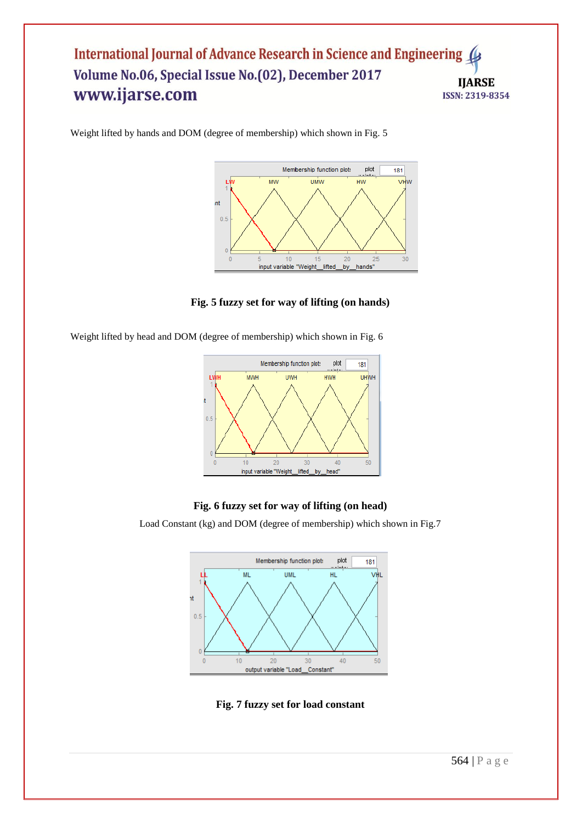

Weight lifted by hands and DOM (degree of membership) which shown in Fig. 5

## **Fig. 5 fuzzy set for way of lifting (on hands)**

Weight lifted by head and DOM (degree of membership) which shown in Fig. 6



## **Fig. 6 fuzzy set for way of lifting (on head)**

Load Constant (kg) and DOM (degree of membership) which shown in Fig.7



**Fig. 7 fuzzy set for load constant**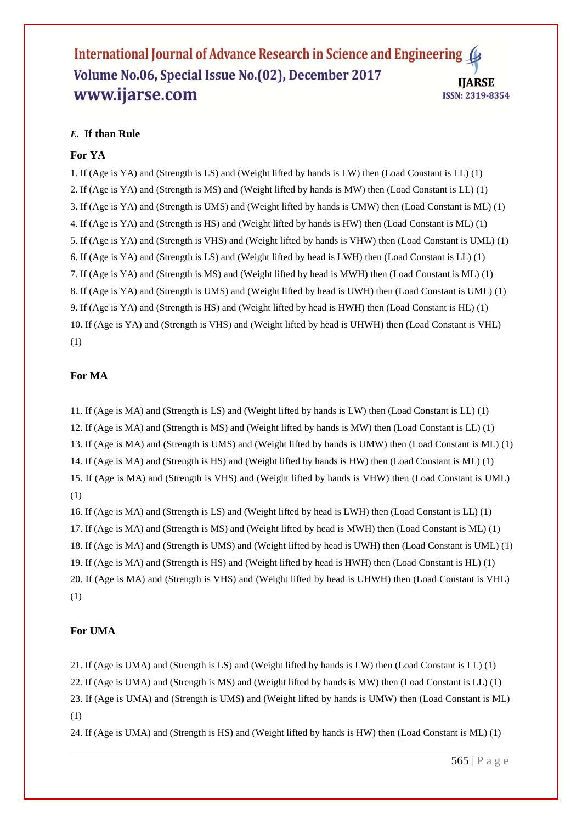## *E.* **If than Rule**

#### **For YA**

1. If (Age is YA) and (Strength is LS) and (Weight lifted by hands is LW) then (Load Constant is LL) (1) 2. If (Age is YA) and (Strength is MS) and (Weight lifted by hands is MW) then (Load Constant is LL) (1) 3. If (Age is YA) and (Strength is UMS) and (Weight lifted by hands is UMW) then (Load Constant is ML) (1) 4. If (Age is YA) and (Strength is HS) and (Weight lifted by hands is HW) then (Load Constant is ML) (1) 5. If (Age is YA) and (Strength is VHS) and (Weight lifted by hands is VHW) then (Load Constant is UML) (1) 6. If (Age is YA) and (Strength is LS) and (Weight lifted by head is LWH) then (Load Constant is LL) (1) 7. If (Age is YA) and (Strength is MS) and (Weight lifted by head is MWH) then (Load Constant is ML) (1) 8. If (Age is YA) and (Strength is UMS) and (Weight lifted by head is UWH) then (Load Constant is UML) (1) 9. If (Age is YA) and (Strength is HS) and (Weight lifted by head is HWH) then (Load Constant is HL) (1) 10. If (Age is YA) and (Strength is VHS) and (Weight lifted by head is UHWH) then (Load Constant is VHL) (1)

#### **For MA**

11. If (Age is MA) and (Strength is LS) and (Weight lifted by hands is LW) then (Load Constant is LL) (1) 12. If (Age is MA) and (Strength is MS) and (Weight lifted by hands is MW) then (Load Constant is LL) (1) 13. If (Age is MA) and (Strength is UMS) and (Weight lifted by hands is UMW) then (Load Constant is ML) (1) 14. If (Age is MA) and (Strength is HS) and (Weight lifted by hands is HW) then (Load Constant is ML) (1) 15. If (Age is MA) and (Strength is VHS) and (Weight lifted by hands is VHW) then (Load Constant is UML) (1)

16. If (Age is MA) and (Strength is LS) and (Weight lifted by head is LWH) then (Load Constant is LL) (1) 17. If (Age is MA) and (Strength is MS) and (Weight lifted by head is MWH) then (Load Constant is ML) (1) 18. If (Age is MA) and (Strength is UMS) and (Weight lifted by head is UWH) then (Load Constant is UML) (1) 19. If (Age is MA) and (Strength is HS) and (Weight lifted by head is HWH) then (Load Constant is HL) (1) 20. If (Age is MA) and (Strength is VHS) and (Weight lifted by head is UHWH) then (Load Constant is VHL) (1)

#### **For UMA**

21. If (Age is UMA) and (Strength is LS) and (Weight lifted by hands is LW) then (Load Constant is LL) (1)

22. If (Age is UMA) and (Strength is MS) and (Weight lifted by hands is MW) then (Load Constant is LL) (1)

23. If (Age is UMA) and (Strength is UMS) and (Weight lifted by hands is UMW) then (Load Constant is ML) (1)

24. If (Age is UMA) and (Strength is HS) and (Weight lifted by hands is HW) then (Load Constant is ML) (1)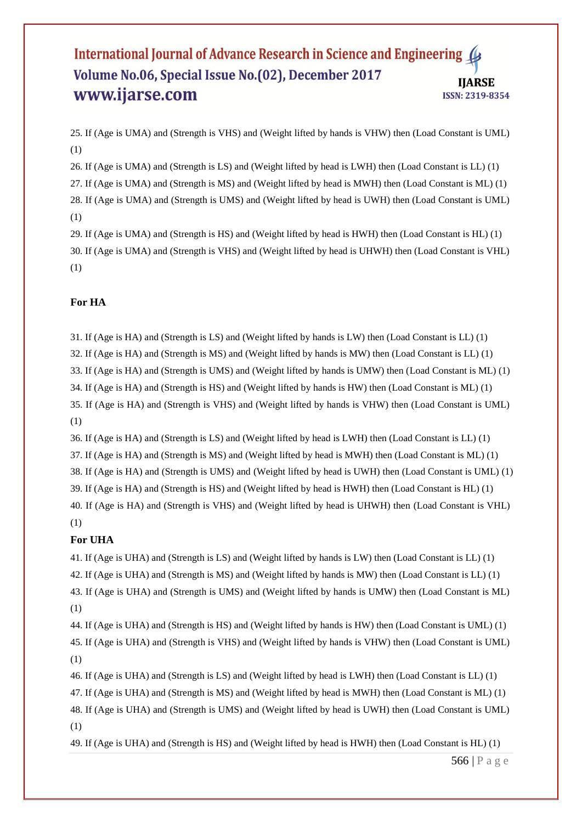25. If (Age is UMA) and (Strength is VHS) and (Weight lifted by hands is VHW) then (Load Constant is UML) (1)

26. If (Age is UMA) and (Strength is LS) and (Weight lifted by head is LWH) then (Load Constant is LL) (1) 27. If (Age is UMA) and (Strength is MS) and (Weight lifted by head is MWH) then (Load Constant is ML) (1) 28. If (Age is UMA) and (Strength is UMS) and (Weight lifted by head is UWH) then (Load Constant is UML) (1)

29. If (Age is UMA) and (Strength is HS) and (Weight lifted by head is HWH) then (Load Constant is HL) (1) 30. If (Age is UMA) and (Strength is VHS) and (Weight lifted by head is UHWH) then (Load Constant is VHL) (1)

## **For HA**

31. If (Age is HA) and (Strength is LS) and (Weight lifted by hands is LW) then (Load Constant is LL) (1)

32. If (Age is HA) and (Strength is MS) and (Weight lifted by hands is MW) then (Load Constant is LL) (1)

33. If (Age is HA) and (Strength is UMS) and (Weight lifted by hands is UMW) then (Load Constant is ML) (1)

34. If (Age is HA) and (Strength is HS) and (Weight lifted by hands is HW) then (Load Constant is ML) (1)

35. If (Age is HA) and (Strength is VHS) and (Weight lifted by hands is VHW) then (Load Constant is UML) (1)

36. If (Age is HA) and (Strength is LS) and (Weight lifted by head is LWH) then (Load Constant is LL) (1)

37. If (Age is HA) and (Strength is MS) and (Weight lifted by head is MWH) then (Load Constant is ML) (1)

38. If (Age is HA) and (Strength is UMS) and (Weight lifted by head is UWH) then (Load Constant is UML) (1)

39. If (Age is HA) and (Strength is HS) and (Weight lifted by head is HWH) then (Load Constant is HL) (1)

40. If (Age is HA) and (Strength is VHS) and (Weight lifted by head is UHWH) then (Load Constant is VHL) (1)

## **For UHA**

(1)

41. If (Age is UHA) and (Strength is LS) and (Weight lifted by hands is LW) then (Load Constant is LL) (1) 42. If (Age is UHA) and (Strength is MS) and (Weight lifted by hands is MW) then (Load Constant is LL) (1) 43. If (Age is UHA) and (Strength is UMS) and (Weight lifted by hands is UMW) then (Load Constant is ML)

44. If (Age is UHA) and (Strength is HS) and (Weight lifted by hands is HW) then (Load Constant is UML) (1) 45. If (Age is UHA) and (Strength is VHS) and (Weight lifted by hands is VHW) then (Load Constant is UML) (1)

46. If (Age is UHA) and (Strength is LS) and (Weight lifted by head is LWH) then (Load Constant is LL) (1) 47. If (Age is UHA) and (Strength is MS) and (Weight lifted by head is MWH) then (Load Constant is ML) (1) 48. If (Age is UHA) and (Strength is UMS) and (Weight lifted by head is UWH) then (Load Constant is UML) (1)

49. If (Age is UHA) and (Strength is HS) and (Weight lifted by head is HWH) then (Load Constant is HL) (1)

566 | P a g e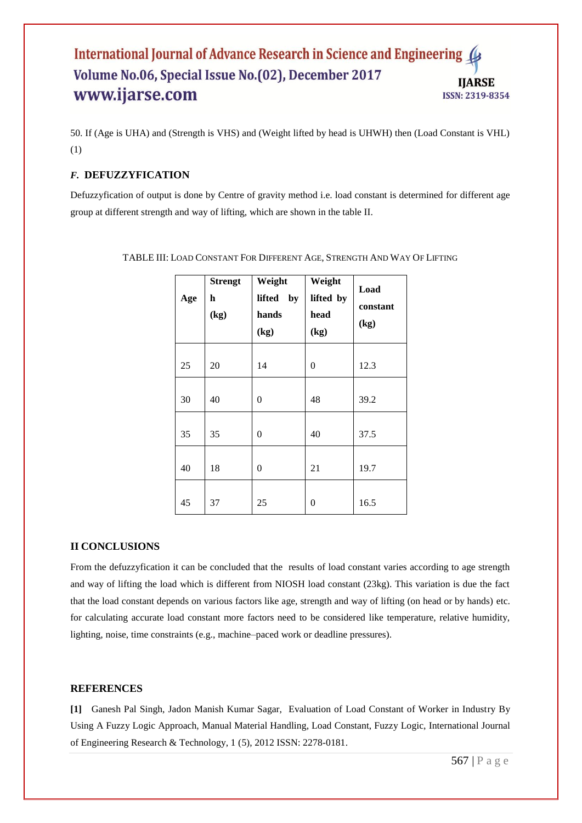50. If (Age is UHA) and (Strength is VHS) and (Weight lifted by head is UHWH) then (Load Constant is VHL) (1)

## *F.* **DEFUZZYFICATION**

Defuzzyfication of output is done by Centre of gravity method i.e. load constant is determined for different age group at different strength and way of lifting, which are shown in the table II.

| Age | <b>Strengt</b><br>h<br>(kg) | Weight<br>lifted<br>by<br>hands<br>(kg) | Weight<br>lifted by<br>head<br>(kg) | Load<br>constant<br>(kg) |
|-----|-----------------------------|-----------------------------------------|-------------------------------------|--------------------------|
| 25  | 20                          | 14                                      | $\overline{0}$                      | 12.3                     |
| 30  | 40                          | $\overline{0}$                          | 48                                  | 39.2                     |
| 35  | 35                          | 0                                       | 40                                  | 37.5                     |
| 40  | 18                          | $\overline{0}$                          | 21                                  | 19.7                     |
| 45  | 37                          | 25                                      | 0                                   | 16.5                     |

TABLE III: LOAD CONSTANT FOR DIFFERENT AGE, STRENGTH AND WAY OF LIFTING

## **II CONCLUSIONS**

From the defuzzyfication it can be concluded that the results of load constant varies according to age strength and way of lifting the load which is different from NIOSH load constant (23kg). This variation is due the fact that the load constant depends on various factors like age, strength and way of lifting (on head or by hands) etc. for calculating accurate load constant more factors need to be considered like temperature, relative humidity, lighting, noise, time constraints (e.g., machine–paced work or deadline pressures).

## **REFERENCES**

**[1]** Ganesh Pal Singh, Jadon Manish Kumar Sagar, Evaluation of Load Constant of Worker in Industry By Using A Fuzzy Logic Approach, Manual Material Handling, Load Constant, Fuzzy Logic, International Journal of Engineering Research & Technology, 1 (5), 2012 ISSN: 2278-0181.